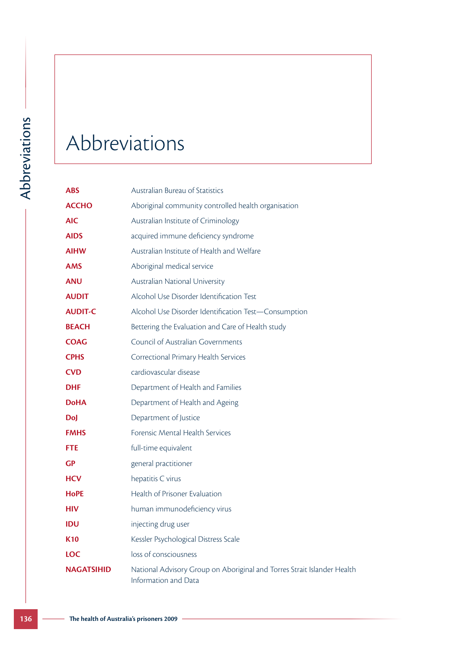## Abbreviations

| <b>ABS</b>        | Australian Bureau of Statistics                                                                 |
|-------------------|-------------------------------------------------------------------------------------------------|
| <b>ACCHO</b>      | Aboriginal community controlled health organisation                                             |
| <b>AIC</b>        | Australian Institute of Criminology                                                             |
| <b>AIDS</b>       | acquired immune deficiency syndrome                                                             |
| <b>AIHW</b>       | Australian Institute of Health and Welfare                                                      |
| <b>AMS</b>        | Aboriginal medical service                                                                      |
| <b>ANU</b>        | Australian National University                                                                  |
| <b>AUDIT</b>      | Alcohol Use Disorder Identification Test                                                        |
| <b>AUDIT-C</b>    | Alcohol Use Disorder Identification Test-Consumption                                            |
| <b>BEACH</b>      | Bettering the Evaluation and Care of Health study                                               |
| <b>COAG</b>       | <b>Council of Australian Governments</b>                                                        |
| <b>CPHS</b>       | Correctional Primary Health Services                                                            |
| <b>CVD</b>        | cardiovascular disease                                                                          |
| <b>DHF</b>        | Department of Health and Families                                                               |
| <b>DoHA</b>       | Department of Health and Ageing                                                                 |
| <b>DoJ</b>        | Department of Justice                                                                           |
| <b>FMHS</b>       | Forensic Mental Health Services                                                                 |
| <b>FTE</b>        | full-time equivalent                                                                            |
| <b>GP</b>         | general practitioner                                                                            |
| <b>HCV</b>        | hepatitis C virus                                                                               |
| <b>HoPE</b>       | Health of Prisoner Evaluation                                                                   |
| <b>HIV</b>        | human immunodeficiency virus                                                                    |
| <b>IDU</b>        | injecting drug user                                                                             |
| <b>K10</b>        | Kessler Psychological Distress Scale                                                            |
| <b>LOC</b>        | loss of consciousness                                                                           |
| <b>NAGATSIHID</b> | National Advisory Group on Aboriginal and Torres Strait Islander Health<br>Information and Data |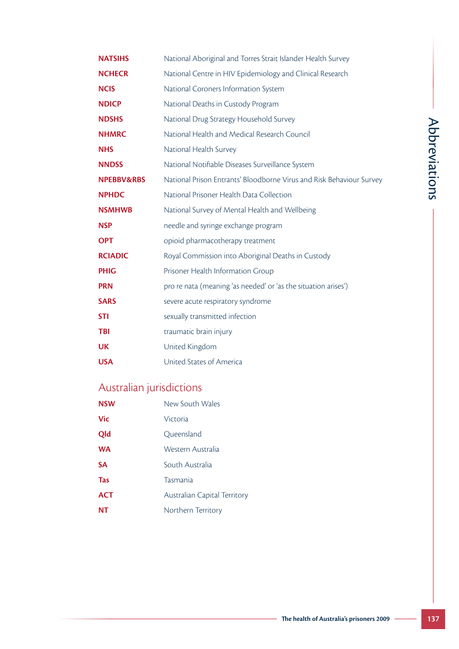|                          | The health of Australia's prisoners 2009                             | 137           |
|--------------------------|----------------------------------------------------------------------|---------------|
|                          |                                                                      |               |
|                          |                                                                      |               |
|                          |                                                                      |               |
|                          |                                                                      |               |
|                          |                                                                      |               |
|                          |                                                                      |               |
| <b>NT</b>                | Northern Territory                                                   |               |
| <b>ACT</b>               | Australian Capital Territory                                         |               |
| <b>Tas</b>               | Tasmania                                                             |               |
| <b>SA</b>                | South Australia                                                      |               |
| <b>WA</b>                | Western Australia                                                    |               |
| Qld                      | Queensland                                                           |               |
| <b>Vic</b>               | Victoria                                                             |               |
| <b>NSW</b>               | New South Wales                                                      |               |
| Australian jurisdictions |                                                                      |               |
| <b>USA</b>               | United States of America                                             |               |
| <b>UK</b>                | United Kingdom                                                       |               |
| <b>TBI</b>               | traumatic brain injury                                               |               |
| <b>STI</b>               | sexually transmitted infection                                       |               |
| <b>SARS</b>              | severe acute respiratory syndrome                                    |               |
| <b>PRN</b>               | pro re nata (meaning 'as needed' or 'as the situation arises')       |               |
| <b>PHIG</b>              | Prisoner Health Information Group                                    |               |
| <b>RCIADIC</b>           | Royal Commission into Aboriginal Deaths in Custody                   |               |
| <b>OPT</b>               | opioid pharmacotherapy treatment                                     |               |
| <b>NSP</b>               | needle and syringe exchange program                                  |               |
| <b>NSMHWB</b>            | National Survey of Mental Health and Wellbeing                       |               |
| <b>NPHDC</b>             | National Prisoner Health Data Collection                             |               |
| NPEBBV&RBS               | National Prison Entrants' Bloodborne Virus and Risk Behaviour Survey | Abbreviations |
| <b>NNDSS</b>             | National Notifiable Diseases Surveillance System                     |               |
| <b>NHS</b>               | National Health Survey                                               |               |
| <b>NHMRC</b>             | National Health and Medical Research Council                         |               |
| <b>NDSHS</b>             | National Drug Strategy Household Survey                              |               |
| <b>NDICP</b>             | National Deaths in Custody Program                                   |               |
| <b>NCIS</b>              | National Coroners Information System                                 |               |
| <b>NCHECR</b>            | National Centre in HIV Epidemiology and Clinical Research            |               |
| <b>NATSIHS</b>           | National Aboriginal and Torres Strait Islander Health Survey         |               |
|                          |                                                                      |               |

#### Australian jurisdictions

| <b>NSW</b> | New South Wales                     |
|------------|-------------------------------------|
| Vic        | Victoria                            |
| Qld        | Queensland                          |
| <b>WA</b>  | Western Australia                   |
| SA         | South Australia                     |
| Tas        | Tasmania                            |
| <b>ACT</b> | <b>Australian Capital Territory</b> |
| NΤ         | Northern Territory                  |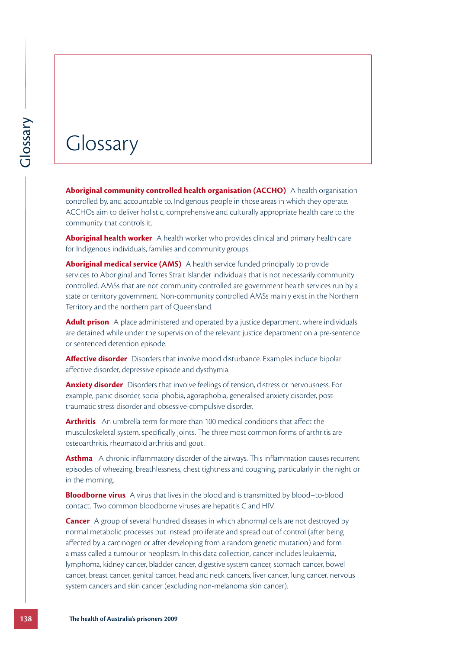#### Glossary

**Aboriginal community controlled health organisation (ACCHO)** A health organisation controlled by, and accountable to, Indigenous people in those areas in which they operate. ACCHOs aim to deliver holistic, comprehensive and culturally appropriate health care to the community that controls it.

**Aboriginal health worker** A health worker who provides clinical and primary health care for Indigenous individuals, families and community groups.

**Aboriginal medical service (AMS)** A health service funded principally to provide services to Aboriginal and Torres Strait Islander individuals that is not necessarily community controlled. AMSs that are not community controlled are government health services run by a state or territory government. Non-community controlled AMSs mainly exist in the Northern Territory and the northern part of Queensland.

**Adult prison** A place administered and operated by a justice department, where individuals are detained while under the supervision of the relevant justice department on a pre-sentence or sentenced detention episode.

**Affective disorder** Disorders that involve mood disturbance. Examples include bipolar affective disorder, depressive episode and dysthymia.

**Anxiety disorder** Disorders that involve feelings of tension, distress or nervousness. For example, panic disorder, social phobia, agoraphobia, generalised anxiety disorder, posttraumatic stress disorder and obsessive-compulsive disorder.

**Arthritis** An umbrella term for more than 100 medical conditions that affect the musculoskeletal system, specifically joints. The three most common forms of arthritis are osteoarthritis, rheumatoid arthritis and gout.

**Asthma** A chronic inflammatory disorder of the airways. This inflammation causes recurrent episodes of wheezing, breathlessness, chest tightness and coughing, particularly in the night or in the morning.

**Bloodborne virus** A virus that lives in the blood and is transmitted by blood–to-blood contact. Two common bloodborne viruses are hepatitis C and HIV.

**1388 1388 The mass of Australia** (Section and determined and accountable to, in ACCHOS aim to deliver holistic, common minity that controls it.<br> **Aboriginal health worker** A heal for indigenous individuals, families a **Cancer** A group of several hundred diseases in which abnormal cells are not destroyed by normal metabolic processes but instead proliferate and spread out of control (after being affected by a carcinogen or after developing from a random genetic mutation) and form a mass called a tumour or neoplasm. In this data collection, cancer includes leukaemia, lymphoma, kidney cancer, bladder cancer, digestive system cancer, stomach cancer, bowel cancer, breast cancer, genital cancer, head and neck cancers, liver cancer, lung cancer, nervous system cancers and skin cancer (excluding non-melanoma skin cancer).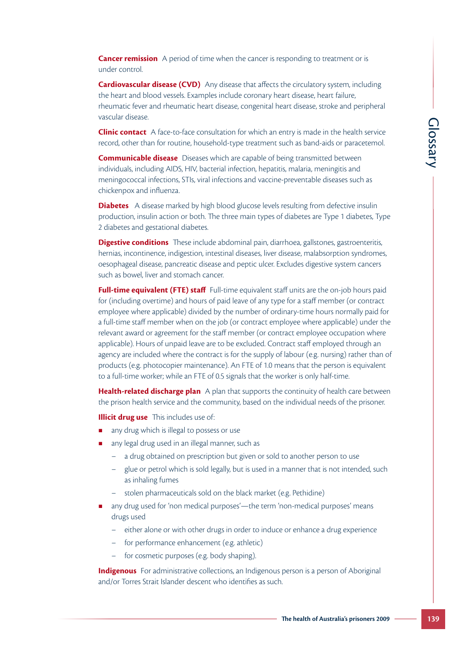**Cancer remission** A period of time when the cancer is responding to treatment or is under control.

**Cardiovascular disease (CVD)** Any disease that affects the circulatory system, including the heart and blood vessels. Examples include coronary heart disease, heart failure, rheumatic fever and rheumatic heart disease, congenital heart disease, stroke and peripheral vascular disease.

**Clinic contact** A face-to-face consultation for which an entry is made in the health service record, other than for routine, household-type treatment such as band-aids or paracetemol.

**Communicable disease** Diseases which are capable of being transmitted between individuals, including AIDS, HIV, bacterial infection, hepatitis, malaria, meningitis and meningococcal infections, STIs, viral infections and vaccine-preventable diseases such as chickenpox and influenza.

**Diabetes** A disease marked by high blood glucose levels resulting from defective insulin production, insulin action or both. The three main types of diabetes are Type 1 diabetes, Type 2 diabetes and gestational diabetes.

**Digestive conditions** These include abdominal pain, diarrhoea, gallstones, gastroenteritis, hernias, incontinence, indigestion, intestinal diseases, liver disease, malabsorption syndromes, oesophageal disease, pancreatic disease and peptic ulcer. Excludes digestive system cancers such as bowel, liver and stomach cancer.

Priny is made in the health service<br>
uch as band-aids or paraceternol.<br>
Figure transmitted between<br>
is, malaria, meningitis and<br>
preventable diseases such as<br>
resulting from defective insulin<br>
resulting from defective insu **Full-time equivalent (FTE) staff** Full-time equivalent staff units are the on-job hours paid for (including overtime) and hours of paid leave of any type for a staff member (or contract employee where applicable) divided by the number of ordinary-time hours normally paid for a full-time staff member when on the job (or contract employee where applicable) under the relevant award or agreement for the staff member (or contract employee occupation where applicable). Hours of unpaid leave are to be excluded. Contract staff employed through an agency are included where the contract is for the supply of labour (e.g. nursing) rather than of products (e.g. photocopier maintenance). An FTE of 1.0 means that the person is equivalent to a full-time worker; while an FTE of 0.5 signals that the worker is only half-time.

**Health-related discharge plan** A plan that supports the continuity of health care between the prison health service and the community, based on the individual needs of the prisoner.

**Illicit drug use** This includes use of:

- **a** any drug which is illegal to possess or use
- any legal drug used in an illegal manner, such as
	- a drug obtained on prescription but given or sold to another person to use
	- glue or petrol which is sold legally, but is used in a manner that is not intended, such as inhaling fumes
	- stolen pharmaceuticals sold on the black market (e.g. Pethidine)
- **n** any drug used for 'non medical purposes'—the term 'non-medical purposes' means drugs used
	- either alone or with other drugs in order to induce or enhance a drug experience
	- for performance enhancement (e.g. athletic)
	- for cosmetic purposes (e.g. body shaping).

**Indigenous** For administrative collections, an Indigenous person is a person of Aboriginal and/or Torres Strait Islander descent who identifies as such.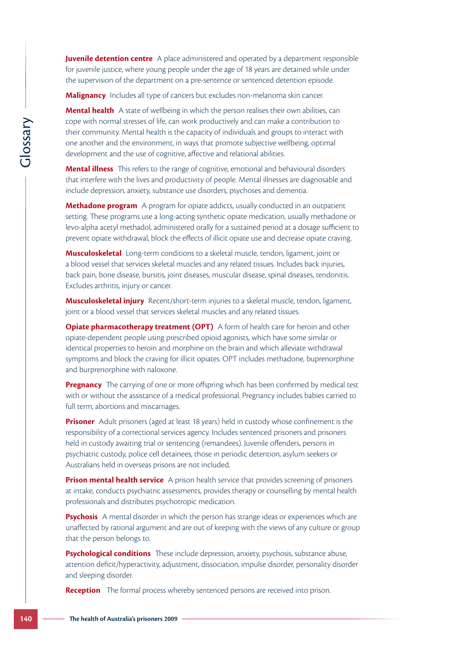**Juvenile detention centre** A place administered and operated by a department responsible for juvenile justice, where young people under the age of 18 years are detained while under the supervision of the department on a pre-sentence or sentenced detention episode.

**Malignancy** Includes all type of cancers but excludes non-melanoma skin cancer.

**Mental health** A state of wellbeing in which the person realises their own abilities, can cope with normal stresses of life, can work productively and can make a contribution to their community. Mental health is the capacity of individuals and groups to interact with one another and the environment, in ways that promote subjective wellbeing, optimal development and the use of cognitive, affective and relational abilities.

**Mental illness** This refers to the range of cognitive, emotional and behavioural disorders that interfere with the lives and productivity of people. Mental illnesses are diagnosable and include depression, anxiety, substance use disorders, psychoses and dementia.

**Methadone program** A program for opiate addicts, usually conducted in an outpatient setting. These programs use a long-acting synthetic opiate medication, usually methadone or levo-alpha acetyl methadol, administered orally for a sustained period at a dosage sufficient to prevent opiate withdrawal, block the effects of illicit opiate use and decrease opiate craving.

**Musculoskeletal** Long-term conditions to a skeletal muscle, tendon, ligament, joint or a blood vessel that services skeletal muscles and any related tissues. Includes back injuries, back pain, bone disease, bursitis, joint diseases, muscular disease, spinal diseases, tendonitis. Excludes arthritis, injury or cancer.

**Musculoskeletal injury** Recent/short-term injuries to a skeletal muscle, tendon, ligament, joint or a blood vessel that services skeletal muscles and any related tissues.

**140 Consumerably:** Mental health is the community: Mental health is the development and the use of cognition one another and the use of cognition of the interference with the lives and proposition include depression, an **Opiate pharmacotherapy treatment (OPT)** A form of health care for heroin and other opiate-dependent people using prescribed opioid agonists, which have some similar or identical properties to heroin and morphine on the brain and which alleviate withdrawal symptoms and block the craving for illicit opiates. OPT includes methadone, buprenorphine and burprenorphine with naloxone.

**Pregnancy** The carrying of one or more offspring which has been confirmed by medical test with or without the assistance of a medical professional. Pregnancy includes babies carried to full term, abortions and miscarriages.

**Prisoner** Adult prisoners (aged at least 18 years) held in custody whose confinement is the responsibility of a correctional services agency. Includes sentenced prisoners and prisoners held in custody awaiting trial or sentencing (remandees). Juvenile offenders, persons in psychiatric custody, police cell detainees, those in periodic detention, asylum seekers or Australians held in overseas prisons are not included.

**Prison mental health service** A prison health service that provides screening of prisoners at intake, conducts psychiatric assessments, provides therapy or counselling by mental health professionals and distributes psychotropic medication.

**Psychosis** A mental disorder in which the person has strange ideas or experiences which are unaffected by rational argument and are out of keeping with the views of any culture or group that the person belongs to.

**Psychological conditions** These include depression, anxiety, psychosis, substance abuse, attention deficit/hyperactivity, adjustment, dissociation, impulse disorder, personality disorder and sleeping disorder.

**Reception** The formal process whereby sentenced persons are received into prison.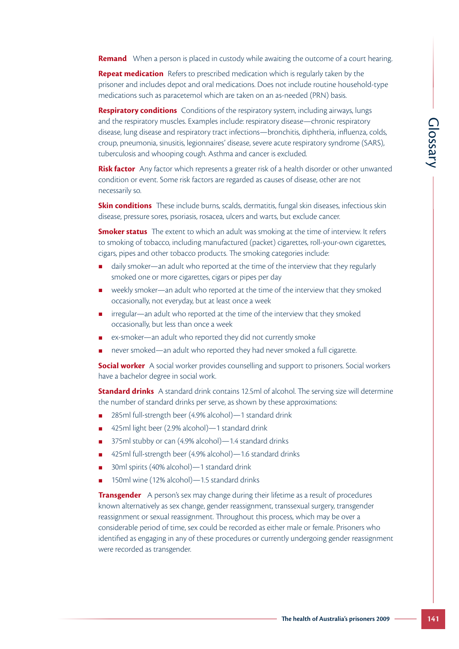**Remand** When a person is placed in custody while awaiting the outcome of a court hearing.

**Repeat medication** Refers to prescribed medication which is regularly taken by the prisoner and includes depot and oral medications. Does not include routine household-type medications such as paracetemol which are taken on an as-needed (PRN) basis.

**Respiratory conditions** Conditions of the respiratory system, including airways, lungs and the respiratory muscles. Examples include: respiratory disease—chronic respiratory disease, lung disease and respiratory tract infections—bronchitis, diphtheria, influenza, colds, croup, pneumonia, sinusitis, legionnaires' disease, severe acute respiratory syndrome (SARS), tuberculosis and whooping cough. Asthma and cancer is excluded.

**Risk factor** Any factor which represents a greater risk of a health disorder or other unwanted condition or event. Some risk factors are regarded as causes of disease, other are not necessarily so.

**Skin conditions** These include burns, scalds, dermatitis, fungal skin diseases, infectious skin disease, pressure sores, psoriasis, rosacea, ulcers and warts, but exclude cancer.

**Smoker status** The extent to which an adult was smoking at the time of interview. It refers to smoking of tobacco, including manufactured (packet) cigarettes, roll-your-own cigarettes, cigars, pipes and other tobacco products. The smoking categories include:

- daily smoker—an adult who reported at the time of the interview that they regularly smoked one or more cigarettes, cigars or pipes per day
- weekly smoker—an adult who reported at the time of the interview that they smoked occasionally, not everyday, but at least once a week
- irregular—an adult who reported at the time of the interview that they smoked occasionally, but less than once a week
- ex-smoker—an adult who reported they did not currently smoke
- never smoked—an adult who reported they had never smoked a full cigarette.

**Social worker** A social worker provides counselling and support to prisoners. Social workers have a bachelor degree in social work.

**Standard drinks** A standard drink contains 12.5ml of alcohol. The serving size will determine the number of standard drinks per serve, as shown by these approximations:

- 285ml full-strength beer (4.9% alcohol)—1 standard drink
- 425ml light beer (2.9% alcohol)—1 standard drink
- 375ml stubby or can (4.9% alcohol)—1.4 standard drinks
- 425ml full-strength beer (4.9% alcohol)—1.6 standard drinks
- 30ml spirits (40% alcohol)—1 standard drink
- 150ml wine (12% alcohol)—1.5 standard drinks

disease—chronic respiratory<br>
chichtis, diphtheria, influenza, colds,<br>
nue respiratory syndrome (SARS),<br>
xcluded.<br>
In health disorder or other unwanted<br>
so f disease, other are not<br>
ungal skin diseases, infectious skin<br>
but **Transgender** A person's sex may change during their lifetime as a result of procedures known alternatively as sex change, gender reassignment, transsexual surgery, transgender reassignment or sexual reassignment. Throughout this process, which may be over a considerable period of time, sex could be recorded as either male or female. Prisoners who identified as engaging in any of these procedures or currently undergoing gender reassignment were recorded as transgender.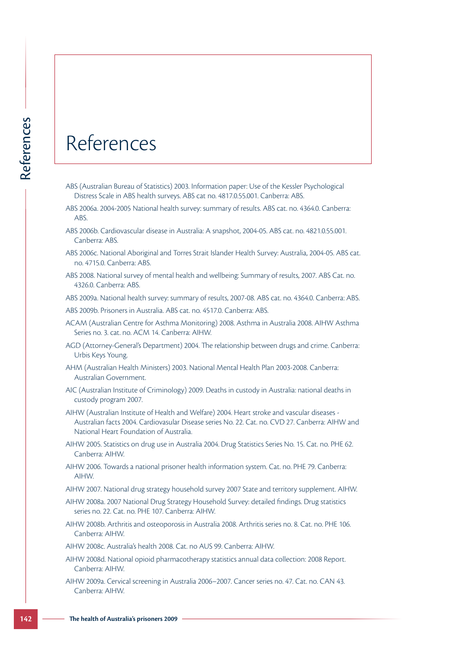### References

- ABS (Australian Bureau of Statistics) 2003. Information paper: Use of the Kessler Psychological Distress Scale in ABS health surveys. ABS cat no. 4817.0.55.001. Canberra: ABS.
- ABS 2006a. 2004-2005 National health survey: summary of results. ABS cat. no. 4364.0. Canberra: **ABS**
- ABS 2006b. Cardiovascular disease in Australia: A snapshot, 2004-05. ABS cat. no. 4821.0.55.001. Canberra: ABS.
- ABS 2006c. National Aboriginal and Torres Strait Islander Health Survey: Australia, 2004-05. ABS cat. no. 4715.0. Canberra: ABS.
- ABS 2008. National survey of mental health and wellbeing: Summary of results, 2007. ABS Cat. no. 4326.0. Canberra: ABS.

ABS 2009a. National health survey: summary of results, 2007-08. ABS cat. no. 4364.0. Canberra: ABS.

ABS 2009b. Prisoners in Australia. ABS cat. no. 4517.0. Canberra: ABS.

- ACAM (Australian Centre for Asthma Monitoring) 2008. Asthma in Australia 2008. AIHW Asthma Series no. 3. cat. no. ACM 14. Canberra: AIHW.
- AGD (Attorney-General's Department) 2004. The relationship between drugs and crime. Canberra: Urbis Keys Young.
- AHM (Australian Health Ministers) 2003. National Mental Health Plan 2003-2008. Canberra: Australian Government.
- AIC (Australian Institute of Criminology) 2009. Deaths in custody in Australia: national deaths in custody program 2007.
- **142 The Health of Australian Stress Calce in ABS health stress Cale in ABS health streve<br>
ABS (Australian Bureau of Statistics) 2<br>
Distress Scale in ABS health survey<br>
ABS 20066. Darberra: ABS.<br>
ABS 20066. National Abor** AIHW (Australian Institute of Health and Welfare) 2004. Heart stroke and vascular diseases - Australian facts 2004. Cardiovasular Disease series No. 22. Cat. no. CVD 27. Canberra: AIHW and National Heart Foundation of Australia.
	- AIHW 2005. Statistics on drug use in Australia 2004. Drug Statistics Series No. 15. Cat. no. PHE 62. Canberra: AIHW.
	- AIHW 2006. Towards a national prisoner health information system. Cat. no. PHE 79. Canberra: AIHW.
	- AIHW 2007. National drug strategy household survey 2007 State and territory supplement. AIHW.
	- AIHW 2008a. 2007 National Drug Strategy Household Survey: detailed findings. Drug statistics series no. 22. Cat. no. PHE 107. Canberra: AIHW.
	- AIHW 2008b. Arthritis and osteoporosis in Australia 2008. Arthritis series no. 8. Cat. no. PHE 106. Canberra: AIHW.
	- AIHW 2008c. Australia's health 2008. Cat. no AUS 99. Canberra: AIHW.
	- AIHW 2008d. National opioid pharmacotherapy statistics annual data collection: 2008 Report. Canberra: AIHW.
	- AIHW 2009a. Cervical screening in Australia 2006–2007. Cancer series no. 47. Cat. no. CAN 43. Canberra: AIHW.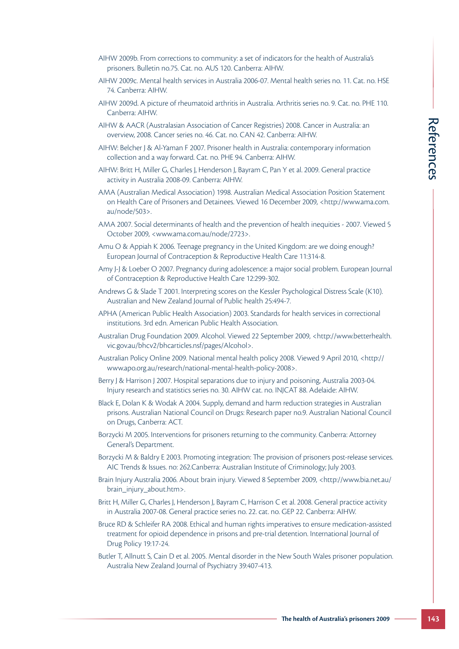- AIHW 2009b. From corrections to community: a set of indicators for the health of Australia's prisoners. Bulletin no.75. Cat. no. AUS 120. Canberra: AIHW.
- AIHW 2009c. Mental health services in Australia 2006-07. Mental health series no. 11. Cat. no. HSE 74. Canberra: AIHW.
- AIHW 2009d. A picture of rheumatoid arthritis in Australia. Arthritis series no. 9. Cat. no. PHE 110. Canberra: AIHW.
- AIHW & AACR (Australasian Association of Cancer Registries) 2008. Cancer in Australia: an overview, 2008. Cancer series no. 46. Cat. no. CAN 42. Canberra: AIHW.
- AIHW: Belcher J & Al-Yaman F 2007. Prisoner health in Australia: contemporary information collection and a way forward. Cat. no. PHE 94. Canberra: AIHW.
- AIHW: Britt H, Miller G, Charles J, Henderson J, Bayram C, Pan Y et al. 2009. General practice activity in Australia 2008-09. Canberra: AIHW.
- AMA (Australian Medical Association) 1998. Australian Medical Association Position Statement on Health Care of Prisoners and Detainees. Viewed 16 December 2009, <http://www.ama.com. au/node/503>.
- AMA 2007. Social determinants of health and the prevention of health inequities 2007. Viewed 5 October 2009, <www.ama.com.au/node/2723>.
- Amu O & Appiah K 2006. Teenage pregnancy in the United Kingdom: are we doing enough? European Journal of Contraception & Reproductive Health Care 11:314-8.
- Amy J-J & Loeber O 2007. Pregnancy during adolescence: a major social problem. European Journal of Contraception & Reproductive Health Care 12:299-302.
- Andrews G & Slade T 2001. Interpreting scores on the Kessler Psychological Distress Scale (K10). Australian and New Zealand Journal of Public health 25:494-7.
- APHA (American Public Health Association) 2003. Standards for health services in correctional institutions. 3rd edn. American Public Health Association.
- Australian Drug Foundation 2009. Alcohol. Viewed 22 September 2009, <http://www.betterhealth. vic.gov.au/bhcv2/bhcarticles.nsf/pages/Alcohol>.
- Australian Policy Online 2009. National mental health policy 2008. Viewed 9 April 2010, <http:// www.apo.org.au/research/national-mental-health-policy-2008>.
- Berry J & Harrison J 2007. Hospital separations due to injury and poisoning, Australia 2003-04. Injury research and statistics series no. 30. AIHW cat. no. INJCAT 88. Adelaide: AIHW.
- Black E, Dolan K & Wodak A 2004. Supply, demand and harm reduction strategies in Australian prisons. Australian National Council on Drugs: Research paper no.9. Australian National Council on Drugs, Canberra: ACT.
- Borzycki M 2005. Interventions for prisoners returning to the community. Canberra: Attorney General's Department.
- Borzycki M & Baldry E 2003. Promoting integration: The provision of prisoners post-release services. AIC Trends & Issues. no: 262.Canberra: Australian Institute of Criminology; July 2003.
- Brain Injury Australia 2006. About brain injury. Viewed 8 September 2009, <http://www.bia.net.au/ brain\_injury\_about.htm>.
- Britt H, Miller G, Charles J, Henderson J, Bayram C, Harrison C et al. 2008. General practice activity in Australia 2007-08. General practice series no. 22. cat. no. GEP 22. Canberra: AIHW.
- 3 2008. Cancer in Australia: an<br>
rerra: AlHW.<br>
Tais: contemporary information<br>
THW.<br>
Y et al. 2009. General practice<br>
cral Association Position Statement<br>
ermer 2009,  $\kappa$ http://www.ama.com.<br>
of health inequities 2007. Bruce RD & Schleifer RA 2008. Ethical and human rights imperatives to ensure medication-assisted treatment for opioid dependence in prisons and pre-trial detention. International Journal of Drug Policy 19:17-24.
- Butler T, Allnutt S, Cain D et al. 2005. Mental disorder in the New South Wales prisoner population. Australia New Zealand Journal of Psychiatry 39:407-413.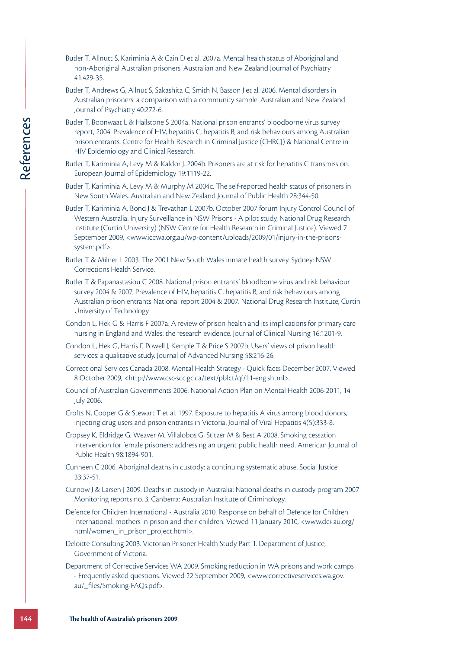- Butler T, Allnutt S, Kariminia A & Cain D et al. 2007a. Mental health status of Aboriginal and non-Aboriginal Australian prisoners. Australian and New Zealand Journal of Psychiatry 41:429-35.
- Butler T, Andrews G, Allnut S, Sakashita C, Smith N, Basson J et al. 2006. Mental disorders in Australian prisoners: a comparison with a community sample. Australian and New Zealand Journal of Psychiatry 40:272-6.
- Butler T, Boonwaat L & Hailstone S 2004a. National prison entrants' bloodborne virus survey report, 2004. Prevalence of HIV, hepatitis C, hepatitis B, and risk behaviours among Australian prison entrants. Centre for Health Research in Criminal Justice (CHRCJ) & National Centre in HIV Epidemiology and Clinical Research.
- Butler T, Kariminia A, Levy M & Kaldor J. 2004b. Prisoners are at risk for hepatitis C transmission. European Journal of Epidemiology 19:1119-22.
- Butler T, Kariminia A, Levy M & Murphy M 2004c. The self-reported health status of prisoners in New South Wales. Australian and New Zealand Journal of Public Health 28:344-50.
- **144 Containing Standard Conferences** (Fille, New Hereafter of Hill, Hilly Epidemiology and Clinical Resulter T, Kariminia A, Levy M & Murp New South Walses Ruce T, Kariminia A, Levy M & Murp New South Walses Australian Butler T, Kariminia A, Bond J & Trevathan L 2007b. October 2007 forum Injury Control Council of Western Australia. Injury Surveillance in NSW Prisons - A pilot study, National Drug Research Institute (Curtin University) (NSW Centre for Health Research in Criminal Justice). Viewed 7 September 2009, <www.iccwa.org.au/wp-content/uploads/2009/01/injury-in-the-prisonssystem.pdf>.
	- Butler T & Milner L 2003. The 2001 New South Wales inmate health survey. Sydney: NSW Corrections Health Service.
	- Butler T & Papanastasiou C 2008. National prison entrants' bloodborne virus and risk behaviour survey 2004 & 2007, Prevalence of HIV, hepatitis C, hepatitis B, and risk behaviours among Australian prison entrants National report 2004 & 2007. National Drug Research Institute, Curtin University of Technology.
	- Condon L, Hek G & Harris F 2007a. A review of prison health and its implications for primary care nursing in England and Wales: the research evidence. Journal of Clinical Nursing 16:1201-9.
	- Condon L, Hek G, Harris F, Powell J, Kemple T & Price S 2007b. Users' views of prison health services: a qualitative study. Journal of Advanced Nursing 58:216-26.
	- Correctional Services Canada 2008. Mental Health Strategy Quick facts December 2007. Viewed 8 October 2009, <http://www.csc-scc.gc.ca/text/pblct/qf/11-eng.shtml>.
	- Council of Australian Governments 2006. National Action Plan on Mental Health 2006-2011, 14 July 2006.
	- Crofts N, Cooper G & Stewart T et al. 1997. Exposure to hepatitis A virus among blood donors, injecting drug users and prison entrants in Victoria. Journal of Viral Hepatitis 4(5):333-8.
	- Cropsey K, Eldridge G, Weaver M, Villalobos G, Stitzer M & Best A 2008. Smoking cessation intervention for female prisoners: addressing an urgent public health need. American Journal of Public Health 98:1894-901.
	- Cunneen C 2006. Aboriginal deaths in custody: a continuing systematic abuse. Social Justice 33:37-51.
	- Curnow J & Larsen J 2009. Deaths in custody in Australia: National deaths in custody program 2007 Monitoring reports no. 3. Canberra: Australian Institute of Criminology.
	- Defence for Children International Australia 2010. Response on behalf of Defence for Children International: mothers in prison and their children. Viewed 11 January 2010, <www.dci-au.org/ html/women\_in\_prison\_project.html>.
	- Deloitte Consulting 2003. Victorian Prisoner Health Study Part 1. Department of Justice, Government of Victoria.
	- Department of Corrective Services WA 2009. Smoking reduction in WA prisons and work camps - Frequently asked questions. Viewed 22 September 2009, <www.correctiveservices.wa.gov. au/\_files/Smoking-FAQs.pdf>.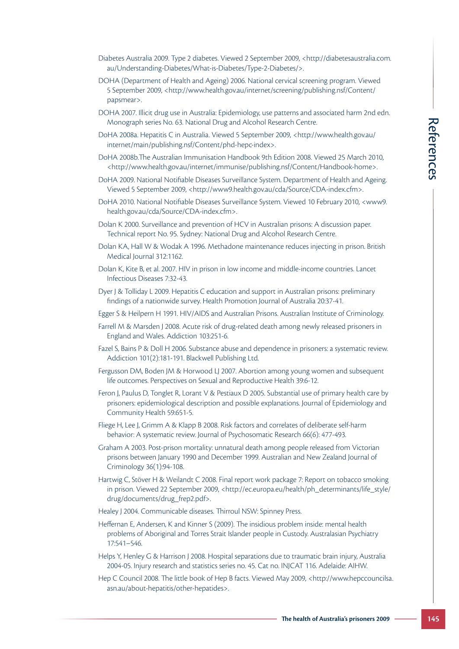- Diabetes Australia 2009. Type 2 diabetes. Viewed 2 September 2009, <http://diabetesaustralia.com. au/Understanding-Diabetes/What-is-Diabetes/Type-2-Diabetes/>.
- DOHA (Department of Health and Ageing) 2006. National cervical screening program. Viewed 5 September 2009, <http://www.health.gov.au/internet/screening/publishing.nsf/Content/ papsmear>.
- DOHA 2007. Illicit drug use in Australia: Epidemiology, use patterns and associated harm 2nd edn. Monograph series No. 63. National Drug and Alcohol Research Centre.
- DoHA 2008a. Hepatitis C in Australia. Viewed 5 September 2009, <http://www.health.gov.au/ internet/main/publishing.nsf/Content/phd-hepc-index>.
- DoHA 2008b.The Australian Immunisation Handbook 9th Edition 2008. Viewed 25 March 2010, <http://www.health.gov.au/internet/immunise/publishing.nsf/Content/Handbook-home>.
- DoHA 2009. National Notifiable Diseases Surveillance System. Department of Health and Ageing. Viewed 5 September 2009, <http://www9.health.gov.au/cda/Source/CDA-index.cfm>.
- DoHA 2010. National Notifiable Diseases Surveillance System. Viewed 10 February 2010, <www9. health.gov.au/cda/Source/CDA-index.cfm>.
- Dolan K 2000. Surveillance and prevention of HCV in Australian prisons: A discussion paper. Technical report No. 95. Sydney: National Drug and Alcohol Research Centre.
- Dolan KA, Hall W & Wodak A 1996. Methadone maintenance reduces injecting in prison. British Medical Journal 312:1162.
- Dolan K, Kite B, et al. 2007. HIV in prison in low income and middle-income countries. Lancet Infectious Diseases 7:32-43.
- Dyer J & Tolliday L 2009. Hepatitis C education and support in Australian prisons: preliminary findings of a nationwide survey. Health Promotion Journal of Australia 20:37-41.
- Egger S & Heilpern H 1991. HIV/AIDS and Australian Prisons. Australian Institute of Criminology.
- Farrell M & Marsden J 2008. Acute risk of drug-related death among newly released prisoners in England and Wales. Addiction 103:251-6.
- Fazel S, Bains P & Doll H 2006. Substance abuse and dependence in prisoners: a systematic review. Addiction 101(2):181-191. Blackwell Publishing Ltd.
- Fergusson DM, Boden JM & Horwood LJ 2007. Abortion among young women and subsequent life outcomes. Perspectives on Sexual and Reproductive Health 39:6-12.
- Feron J, Paulus D, Tonglet R, Lorant V & Pestiaux D 2005. Substantial use of primary health care by prisoners: epidemiological description and possible explanations. Journal of Epidemiology and Community Health 59:651-5.
- Fliege H, Lee J, Grimm A & Klapp B 2008. Risk factors and correlates of deliberate self-harm behavior: A systematic review. Journal of Psychosomatic Research 66(6): 477-493.
- Graham A 2003. Post-prison mortality: unnatural death among people released from Victorian prisons between January 1990 and December 1999. Australian and New Zealand Journal of Criminology 36(1):94-108.
- arch Centre.<br> **The health of Australia** Constant 2010,<br>
Ition 2008. Viewed 25 March 2010,<br>
Department of Health and Ageing.<br> **The health of Australia and Ageing.**<br> **The health of Australian prison.** British<br>
an prisons: A Hartwig C, Stöver H & Weilandt C 2008. Final report work package 7: Report on tobacco smoking in prison. Viewed 22 September 2009, <http://ec.europa.eu/health/ph\_determinants/life\_style/ drug/documents/drug\_frep2.pdf>.
- Healey J 2004. Communicable diseases. Thirroul NSW: Spinney Press.
- Heffernan E, Andersen, K and Kinner S (2009). The insidious problem inside: mental health problems of Aboriginal and Torres Strait Islander people in Custody. Australasian Psychiatry 17:541–546.
- Helps Y, Henley G & Harrison J 2008. Hospital separations due to traumatic brain injury, Australia 2004-05. Injury research and statistics series no. 45. Cat no. INJCAT 116. Adelaide: AIHW.
- Hep C Council 2008. The little book of Hep B facts. Viewed May 2009, <http://www.hepccouncilsa. asn.au/about-hepatitis/other-hepatides>.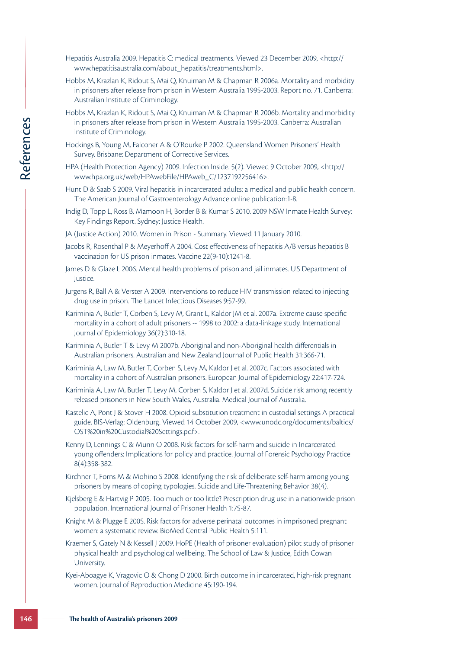- Hepatitis Australia 2009. Hepatitis C: medical treatments. Viewed 23 December 2009, <http:// www.hepatitisaustralia.com/about\_hepatitis/treatments.html>.
- Hobbs M, Krazlan K, Ridout S, Mai Q, Knuiman M & Chapman R 2006a. Mortality and morbidity in prisoners after release from prison in Western Australia 1995-2003. Report no. 71. Canberra: Australian Institute of Criminology.
- Hobbs M, Krazlan K, Ridout S, Mai Q, Knuiman M & Chapman R 2006b. Mortality and morbidity in prisoners after release from prison in Western Australia 1995-2003. Canberra: Australian Institute of Criminology.
- Hockings B, Young M, Falconer A & O'Rourke P 2002. Queensland Women Prisoners' Health Survey. Brisbane: Department of Corrective Services.
- HPA (Health Protection Agency) 2009. Infection Inside. 5(2). Viewed 9 October 2009, <http:// www.hpa.org.uk/web/HPAwebFile/HPAweb\_C/1237192256416>.
- Hunt D & Saab S 2009. Viral hepatitis in incarcerated adults: a medical and public health concern. The American Journal of Gastroenterology Advance online publication:1-8.
- Indig D, Topp L, Ross B, Mamoon H, Border B & Kumar S 2010. 2009 NSW Inmate Health Survey: Key Findings Report. Sydney: Justice Health.
- JA (Justice Action) 2010. Women in Prison Summary. Viewed 11 January 2010.
- Jacobs R, Rosenthal P & Meyerhoff A 2004. Cost effectiveness of hepatitis A/B versus hepatitis B vaccination for US prison inmates. Vaccine 22(9-10):1241-8.
- James D & Glaze L 2006. Mental health problems of prison and jail inmates. U.S Department of Justice.
- Jurgens R, Ball A & Verster A 2009. Interventions to reduce HIV transmission related to injecting drug use in prison. The Lancet Infectious Diseases 9:57-99.
- Kariminia A, Butler T, Corben S, Levy M, Grant L, Kaldor JM et al. 2007a. Extreme cause specific mortality in a cohort of adult prisoners -- 1998 to 2002: a data-linkage study. International Journal of Epidemiology 36(2):310-18.
- Kariminia A, Butler T & Levy M 2007b. Aboriginal and non-Aboriginal health differentials in Australian prisoners. Australian and New Zealand Journal of Public Health 31:366-71.
- Kariminia A, Law M, Butler T, Corben S, Levy M, Kaldor J et al. 2007c. Factors associated with mortality in a cohort of Australian prisoners. European Journal of Epidemiology 22:417-724.
- Kariminia A, Law M, Butler T, Levy M, Corben S, Kaldor J et al. 2007d. Suicide risk among recently released prisoners in New South Wales, Australia. Medical Journal of Australia.
- Kastelic A, Pont J & Stover H 2008. Opioid substitution treatment in custodial settings A practical guide. BIS-Verlag: Oldenburg. Viewed 14 October 2009, <www.unodc.org/documents/baltics/ OST%20in%20Custodial%20Settings.pdf>.
- Kenny D, Lennings C & Munn O 2008. Risk factors for self-harm and suicide in Incarcerated young offenders: Implications for policy and practice. Journal of Forensic Psychology Practice 8(4):358-382.
- Kirchner T, Forns M & Mohino S 2008. Identifying the risk of deliberate self-harm among young prisoners by means of coping typologies. Suicide and Life-Threatening Behavior 38(4).
- Kjelsberg E & Hartvig P 2005. Too much or too little? Prescription drug use in a nationwide prison population. International Journal of Prisoner Health 1:75-87.
- Knight M & Plugge E 2005. Risk factors for adverse perinatal outcomes in imprisoned pregnant women: a systematic review. BioMed Central Public Health 5:111.
- **146** Institute of Criminology.<br>
In this transform of Australia is proper and the proper and the presence of Australia Potences Australia Potences Australia Potences Australia Diversion Agency 2009. Viral hepatitis<br>
The Au Kraemer S, Gately N & Kessell J 2009. HoPE (Health of prisoner evaluation) pilot study of prisoner physical health and psychological wellbeing. The School of Law & Justice, Edith Cowan University.
	- Kyei-Aboagye K, Vragovic O & Chong D 2000. Birth outcome in incarcerated, high-risk pregnant women. Journal of Reproduction Medicine 45:190-194.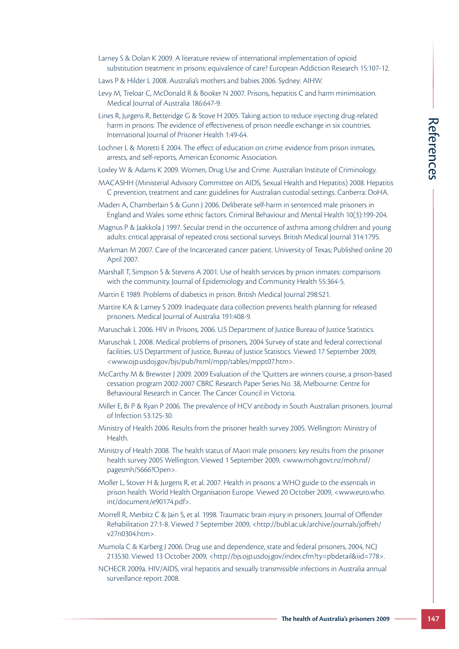- Larney S & Dolan K 2009. A literature review of international implementation of opioid substitution treatment in prisons: equivalence of care? European Addiction Research 15:107-12.
- Laws P & Hilder L 2008. Australia's mothers and babies 2006. Sydney: AIHW.
- Levy M, Treloar C, McDonald R & Booker N 2007. Prisons, hepatitis C and harm minimisation. Medical Journal of Australia 186:647-9.
- Lines R, Jurgens R, Betteridge G & Stove H 2005. Taking action to reduce injecting drug-related harm in prisons: The evidence of effectiveness of prison needle exchange in six countries. International Journal of Prisoner Health 1:49-64.
- Lochner L & Moretti E 2004. The effect of education on crime: evidence from prison inmates, arrests, and self-reports, American Economic Association.
- Loxley W & Adams K 2009. Women, Drug Use and Crime. Australian Institute of Criminology.
- MACASHH (Ministerial Advisory Committee on AIDS, Sexual Health and Hepatitis) 2008. Hepatitis C prevention, treatment and care: guidelines for Australian custodial settings. Canberra: DoHA.
- Maden A, Chamberlain S & Gunn J 2006. Deliberate self-harm in sentenced male prisoners in England and Wales: some ethnic factors. Criminal Behaviour and Mental Health 10(3):199-204.
- Magnus P & Jaakkola J 1997. Secular trend in the occurrence of asthma among children and young adults: critical appraisal of repeated cross sectional surveys. British Medical Journal 314:1795.
- Markman M 2007. Care of the Incarcerated cancer patient. University of Texas; Published online 20 April 2007.
- Marshall T, Simpson S & Stevens A 2001. Use of health services by prison inmates: comparisons with the community. Journal of Epidemiology and Community Health 55:364-5.
- Martin E 1989. Problems of diabetics in prison. British Medical Journal 298:521.
- Martire KA & Larney S 2009. Inadequate data collection prevents health planning for released prisoners. Medical Journal of Australia 191:408-9.
- Maruschak L 2006. HIV in Prisons, 2006. U.S Department of Justice Bureau of Justice Statistics.
- Maruschak L 2008. Medical problems of prisoners, 2004 Survey of state and federal correctional facilities. U.S Department of Justice, Bureau of Justice Statistics. Viewed 17 September 2009, <www.ojp.usdoj.gov/bjs/pub/html/mpp/tables/mppt07.htm>.
- edle exchange in six countries.<br>
The exidence from prison inmates,<br>
The alth and Healtitis) 2008. Hepatitistic<br>
Least Catal settings. Canberra: DoHA.<br>
Least Catal settings. Canberra: DoHA.<br>
In sentenced male prisoners: DoH McCarthy M & Brewster J 2009. 2009 Evaluation of the 'Quitters are winners course, a prison-based cessation program 2002-2007 CBRC Research Paper Series No. 38, Melbourne: Centre for Behavioural Research in Cancer. The Cancer Council in Victoria.
- Miller E, Bi P & Ryan P 2006. The prevalence of HCV antibody in South Australian prisoners. Journal of Infection 53:125-30.
- Ministry of Health 2006. Results from the prisoner health survey 2005. Wellington: Ministry of Health.
- Ministry of Health 2008. The health status of Maori male prisoners: key results from the prisoner health survey 2005 Wellington. Viewed 1 September 2009, <www.moh.govt.nz/moh.nsf/ pagesmh/5666?Open>.
- Moller L, Stover H & Jurgens R, et al. 2007. Health in prisons: a WHO guide to the essentials in prison health. World Health Organisation Europe. Viewed 20 October 2009, <www.euro.who. int/document/e90174.pdf>.
- Morrell R, Merbitz C & Jain S, et al. 1998. Traumatic brain injury in prisoners. Journal of Offender Rehabilitation 27:1-8. Viewed 7 September 2009, <http://bubl.ac.uk/archive/journals/joffreh/ v27n0304.htm>.
- Mumola C & Karberg J 2006. Drug use and dependence, state and federal prisoners, 2004, NCJ 213530. Viewed 13 October 2009, <http://bjs.ojp.usdoj.gov/index.cfm?ty=pbdetail&iid=778>.
- NCHECR 2009a. HIV/AIDS, viral hepatitis and sexually transmissible infections in Australia annual surveillance report 2008.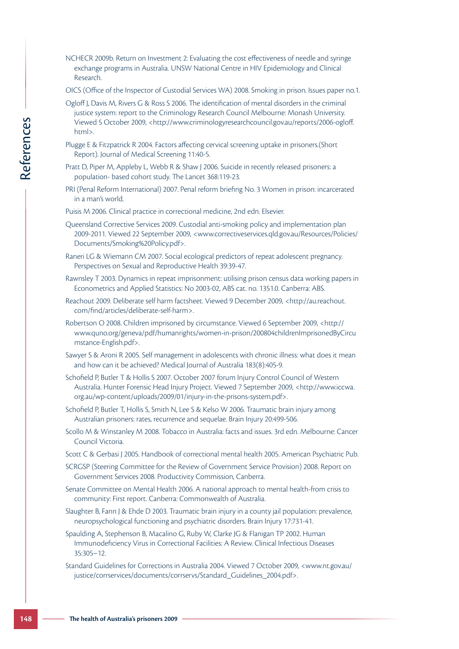- NCHECR 2009b. Return on Investment 2: Evaluating the cost effectiveness of needle and syringe exchange programs in Australia. UNSW National Centre in HIV Epidemiology and Clinical Research.
- OICS (Office of the Inspector of Custodial Services WA) 2008. Smoking in prison. Issues paper no.1.
- Ogloff J, Davis M, Rivers G & Ross S 2006. The identification of mental disorders in the criminal justice system: report to the Criminology Research Council Melbourne: Monash University. Viewed 5 October 2009, <http://www.criminologyresearchcouncil.gov.au/reports/2006-ogloff. html>.
- Plugge E & Fitzpatrick R 2004. Factors affecting cervical screening uptake in prisoners.(Short Report). Journal of Medical Screening 11:40-5.
- Pratt D, Piper M, Appleby L, Webb R & Shaw J 2006. Suicide in recently released prisoners: a population- based cohort study. The Lancet 368:119-23.
- PRI (Penal Reform International) 2007. Penal reform briefing No. 3 Women in prison: incarcerated in a man's world.
- Puisis M 2006. Clinical practice in correctional medicine, 2nd edn. Elsevier.
- Viewel 5 October 2009, chttp://w<br>
html>.<br>
Implemation Depart of Medical Screen<br>
Plagge E & Fitzpatrick R 2004, Factors<br>
Report). Journal of Medical Screen<br>
Pratt D, Piper M, Appleby I, Webb R R<br>
IP (Penal Reform Internatio Queensland Corrective Services 2009. Custodial anti-smoking policy and implementation plan 2009-2011. Viewed 22 September 2009, <www.correctiveservices.qld.gov.au/Resources/Policies/ Documents/Smoking%20Policy.pdf>.
	- Raneri LG & Wiemann CM 2007. Social ecological predictors of repeat adolescent pregnancy. Perspectives on Sexual and Reproductive Health 39:39-47.
	- Rawnsley T 2003. Dynamics in repeat imprisonment: utilising prison census data working papers in Econometrics and Applied Statistics: No 2003-02, ABS cat. no. 1351.0. Canberra: ABS.
	- Reachout 2009. Deliberate self harm factsheet. Viewed 9 December 2009, <http://au.reachout. com/find/articles/deliberate-self-harm>.
	- Robertson O 2008. Children imprisoned by circumstance. Viewed 6 September 2009, <http:// www.quno.org/geneva/pdf/humanrights/women-in-prison/200804childrenImprisonedByCircu mstance-English.pdf>.
	- Sawyer S & Aroni R 2005. Self management in adolescents with chronic illness: what does it mean and how can it be achieved? Medical Journal of Australia 183(8):405-9.
	- Schofield P, Butler T & Hollis S 2007. October 2007 forum Injury Control Council of Western Australia. Hunter Forensic Head Injury Project. Viewed 7 September 2009, <http://www.iccwa. org.au/wp-content/uploads/2009/01/injury-in-the-prisons-system.pdf>.
	- Schofield P, Butler T, Hollis S, Smith N, Lee S & Kelso W 2006. Traumatic brain injury among Australian prisoners: rates, recurrence and sequelae. Brain Injury 20:499-506.
	- Scollo M & Winstanley M 2008. Tobacco in Australia: facts and issues. 3rd edn. Melbourne: Cancer Council Victoria.
	- Scott C & Gerbasi J 2005. Handbook of correctional mental health 2005. American Psychiatric Pub.
	- SCRGSP (Steering Committee for the Review of Government Service Provision) 2008. Report on Government Services 2008. Productivity Commission, Canberra.
	- Senate Committee on Mental Health 2006. A national approach to mental health-from crisis to community: First report. Canberra: Commonwealth of Australia.
	- Slaughter B, Fann J & Ehde D 2003. Traumatic brain injury in a county jail population: prevalence, neuropsychological functioning and psychiatric disorders. Brain Injury 17:731-41.
	- Spaulding A, Stephenson B, Macalino G, Ruby W, Clarke JG & Flanigan TP 2002. Human Immunodeficiency Virus in Correctional Facilities: A Review. Clinical Infectious Diseases 35:305–12.
	- Standard Guidelines for Corrections in Australia 2004. Viewed 7 October 2009, <www.nt.gov.au/ justice/corrservices/documents/corrservs/Standard\_Guidelines\_2004.pdf>.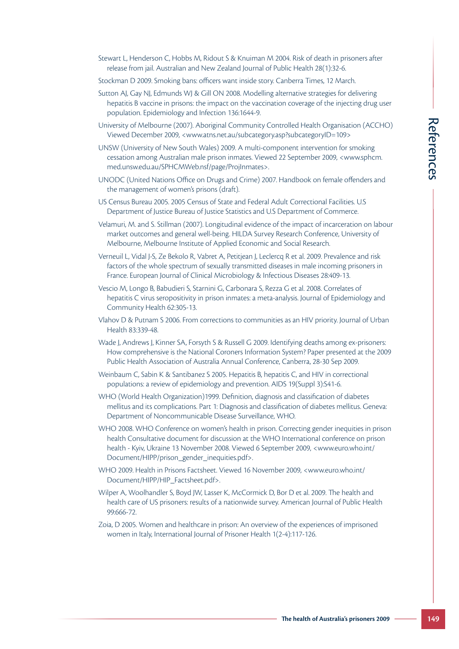- Stewart L, Henderson C, Hobbs M, Ridout S & Knuiman M 2004. Risk of death in prisoners after release from jail. Australian and New Zealand Journal of Public Health 28(1):32-6.
- Stockman D 2009. Smoking bans: officers want inside story. Canberra Times, 12 March.
- Sutton AJ, Gay NJ, Edmunds WJ & Gill ON 2008. Modelling alternative strategies for delivering hepatitis B vaccine in prisons: the impact on the vaccination coverage of the injecting drug user population. Epidemiology and Infection 136:1644-9.
- University of Melbourne (2007). Aboriginal Community Controlled Health Organisation (ACCHO) Viewed December 2009, <www.atns.net.au/subcategory.asp?subcategoryID=109>
- UNSW (University of New South Wales) 2009. A multi-component intervention for smoking cessation among Australian male prison inmates. Viewed 22 September 2009, <www.sphcm. med.unsw.edu.au/SPHCMWeb.nsf/page/ProjInmates>.
- UNODC (United Nations Office on Drugs and Crime) 2007. Handbook on female offenders and the management of women's prisons (draft).
- US Census Bureau 2005. 2005 Census of State and Federal Adult Correctional Facilities. U.S Department of Justice Bureau of Justice Statistics and U.S Department of Commerce.
- Velamuri, M. and S. Stillman (2007). Longitudinal evidence of the impact of incarceration on labour market outcomes and general well-being. HILDA Survey Research Conference, University of Melbourne, Melbourne Institute of Applied Economic and Social Research.
- Verneuil L, Vidal J-S, Ze Bekolo R, Vabret A, Petitjean J, Leclercq R et al. 2009. Prevalence and risk factors of the whole spectrum of sexually transmitted diseases in male incoming prisoners in France. European Journal of Clinical Microbiology & Infectious Diseases 28:409-13.
- Vescio M, Longo B, Babudieri S, Starnini G, Carbonara S, Rezza G et al. 2008. Correlates of hepatitis C virus seropositivity in prison inmates: a meta-analysis. Journal of Epidemiology and Community Health 62:305-13.
- Vlahov D & Putnam S 2006. From corrections to communities as an HIV priority. Journal of Urban Health 83:339-48.
- Wade J, Andrews J, Kinner SA, Forsyth S & Russell G 2009. Identifying deaths among ex-prisoners: How comprehensive is the National Coroners Information System? Paper presented at the 2009 Public Health Association of Australia Annual Conference, Canberra, 28-30 Sep 2009.
- Weinbaum C, Sabin K & Santibanez S 2005. Hepatitis B, hepatitis C, and HIV in correctional populations: a review of epidemiology and prevention. AIDS 19(Suppl 3):S41-6.
- WHO (World Health Organization)1999. Definition, diagnosis and classification of diabetes mellitus and its complications. Part 1: Diagnosis and classification of diabetes mellitus. Geneva: Department of Noncommunicable Disease Surveillance, WHO.
- **The Health Organisation (ACCHO)**<br> **The prisubcategory ID**=109><br> **The mean intervention for smoking**<br>
22 September 2009, <www.sphorn.<br>
Handbook on female offenders and<br>
thult Correctional Facilities. U.S<br> **The cural Confer** WHO 2008. WHO Conference on women's health in prison. Correcting gender inequities in prison health Consultative document for discussion at the WHO International conference on prison health - Kyiv, Ukraine 13 November 2008. Viewed 6 September 2009, <www.euro.who.int/ Document/HIPP/prison\_gender\_inequities.pdf>.
- WHO 2009. Health in Prisons Factsheet. Viewed 16 November 2009, <www.euro.who.int/ Document/HIPP/HIP\_Factsheet.pdf>.
- Wilper A, Woolhandler S, Boyd JW, Lasser K, McCormick D, Bor D et al. 2009. The health and health care of US prisoners: results of a nationwide survey. American Journal of Public Health 99:666-72.
- Zoia, D 2005. Women and healthcare in prison: An overview of the experiences of imprisoned women in Italy, International Journal of Prisoner Health 1(2-4):117-126.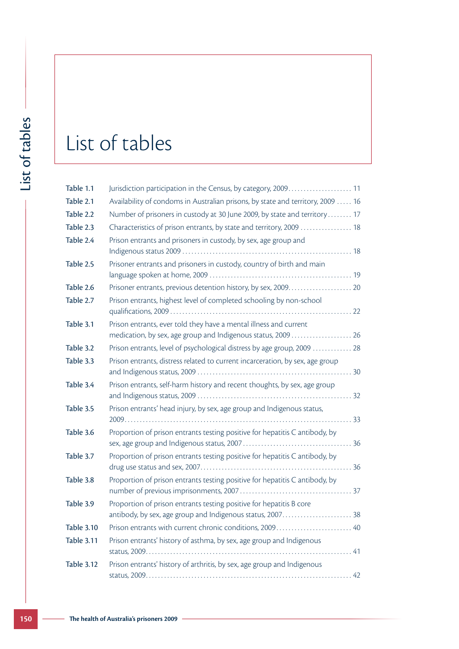## List of tables

| Table 1.1         | Jurisdiction participation in the Census, by category, 2009 11                                                                     |
|-------------------|------------------------------------------------------------------------------------------------------------------------------------|
| Table 2.1         | Availability of condoms in Australian prisons, by state and territory, 2009  16                                                    |
| Table 2.2         | Number of prisoners in custody at 30 June 2009, by state and territory 17                                                          |
| Table 2.3         | Characteristics of prison entrants, by state and territory, 2009  18                                                               |
| Table 2.4         | Prison entrants and prisoners in custody, by sex, age group and                                                                    |
| Table 2.5         | Prisoner entrants and prisoners in custody, country of birth and main                                                              |
| Table 2.6         |                                                                                                                                    |
| Table 2.7         | Prison entrants, highest level of completed schooling by non-school                                                                |
| Table 3.1         | Prison entrants, ever told they have a mental illness and current<br>medication, by sex, age group and Indigenous status, 2009  26 |
| Table 3.2         | Prison entrants, level of psychological distress by age group, 2009  28                                                            |
| Table 3.3         | Prison entrants, distress related to current incarceration, by sex, age group                                                      |
| Table 3.4         | Prison entrants, self-harm history and recent thoughts, by sex, age group                                                          |
| Table 3.5         | Prison entrants' head injury, by sex, age group and Indigenous status,                                                             |
| Table 3.6         | Proportion of prison entrants testing positive for hepatitis C antibody, by                                                        |
| Table 3.7         | Proportion of prison entrants testing positive for hepatitis C antibody, by                                                        |
| Table 3.8         | Proportion of prison entrants testing positive for hepatitis C antibody, by                                                        |
| Table 3.9         | Proportion of prison entrants testing positive for hepatitis B core                                                                |
| <b>Table 3.10</b> | Prison entrants with current chronic conditions, 2009 40                                                                           |
| <b>Table 3.11</b> | Prison entrants' history of asthma, by sex, age group and Indigenous                                                               |
| <b>Table 3.12</b> | Prison entrants' history of arthritis, by sex, age group and Indigenous                                                            |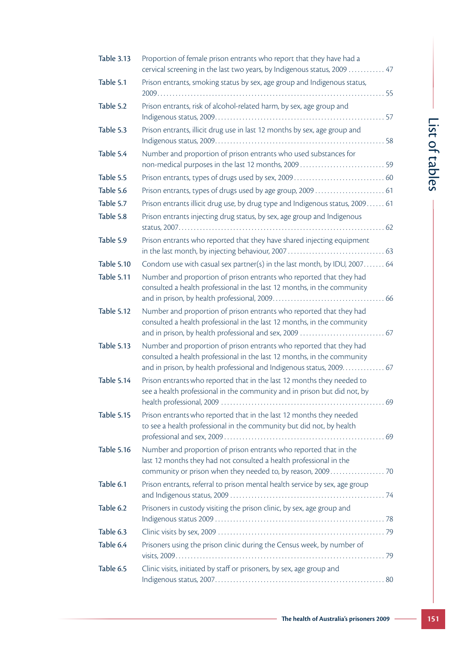| t      |
|--------|
| f<br>٢ |
|        |
|        |
| ١      |
| ٢      |
|        |
|        |
|        |
| ť      |

| <b>Table 3.13</b> | Proportion of female prison entrants who report that they have had a<br>cervical screening in the last two years, by Indigenous status, 2009 47  |                          |
|-------------------|--------------------------------------------------------------------------------------------------------------------------------------------------|--------------------------|
| Table 5.1         | Prison entrants, smoking status by sex, age group and Indigenous status,                                                                         |                          |
| Table 5.2         | Prison entrants, risk of alcohol-related harm, by sex, age group and                                                                             |                          |
|                   |                                                                                                                                                  |                          |
| Table 5.3         | Prison entrants, illicit drug use in last 12 months by sex, age group and                                                                        | 151                      |
| Table 5.4         | Number and proportion of prison entrants who used substances for<br>non-medical purposes in the last 12 months, 2009 59                          | $\overline{a}$<br>tables |
| Table 5.5         |                                                                                                                                                  |                          |
| Table 5.6         | Prison entrants, types of drugs used by age group, 2009  61                                                                                      |                          |
| Table 5.7         | Prison entrants illicit drug use, by drug type and Indigenous status, 2009 61                                                                    |                          |
| Table 5.8         | Prison entrants injecting drug status, by sex, age group and Indigenous                                                                          |                          |
| Table 5.9         | Prison entrants who reported that they have shared injecting equipment                                                                           |                          |
|                   |                                                                                                                                                  |                          |
| <b>Table 5.10</b> | Condom use with casual sex partner(s) in the last month, by IDU, 2007 64                                                                         |                          |
| Table 5.11        | Number and proportion of prison entrants who reported that they had                                                                              |                          |
|                   | consulted a health professional in the last 12 months, in the community                                                                          |                          |
| <b>Table 5.12</b> | Number and proportion of prison entrants who reported that they had                                                                              |                          |
|                   | consulted a health professional in the last 12 months, in the community                                                                          |                          |
|                   |                                                                                                                                                  |                          |
| <b>Table 5.13</b> | Number and proportion of prison entrants who reported that they had                                                                              |                          |
|                   | consulted a health professional in the last 12 months, in the community<br>and in prison, by health professional and Indigenous status, 2009. 67 |                          |
| Table 5.14        | Prison entrants who reported that in the last 12 months they needed to                                                                           |                          |
|                   | see a health professional in the community and in prison but did not, by                                                                         |                          |
|                   |                                                                                                                                                  |                          |
| <b>Table 5.15</b> | Prison entrants who reported that in the last 12 months they needed<br>to see a health professional in the community but did not, by health      |                          |
|                   |                                                                                                                                                  |                          |
| <b>Table 5.16</b> | Number and proportion of prison entrants who reported that in the                                                                                |                          |
|                   | last 12 months they had not consulted a health professional in the                                                                               |                          |
|                   |                                                                                                                                                  |                          |
| Table 6.1         | Prison entrants, referral to prison mental health service by sex, age group                                                                      |                          |
| Table 6.2         | Prisoners in custody visiting the prison clinic, by sex, age group and                                                                           |                          |
| Table 6.3         |                                                                                                                                                  |                          |
| Table 6.4         | Prisoners using the prison clinic during the Census week, by number of                                                                           |                          |
|                   |                                                                                                                                                  |                          |
| Table 6.5         | Clinic visits, initiated by staff or prisoners, by sex, age group and                                                                            |                          |
|                   |                                                                                                                                                  |                          |
|                   |                                                                                                                                                  |                          |
|                   |                                                                                                                                                  |                          |
|                   | The health of Australia's prisoners 2009 –                                                                                                       | 151                      |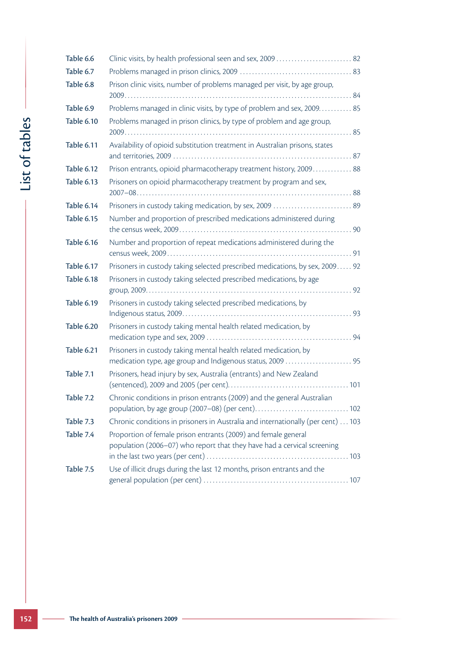|                | Table 6.6         |                                                                                                                                           |
|----------------|-------------------|-------------------------------------------------------------------------------------------------------------------------------------------|
|                | Table 6.7         |                                                                                                                                           |
|                | Table 6.8         | Prison clinic visits, number of problems managed per visit, by age group,                                                                 |
|                | Table 6.9         | Problems managed in clinic visits, by type of problem and sex, 2009. 85                                                                   |
|                | <b>Table 6.10</b> | Problems managed in prison clinics, by type of problem and age group,                                                                     |
| List of tables | Table 6.11        | Availability of opioid substitution treatment in Australian prisons, states                                                               |
|                | <b>Table 6.12</b> | Prison entrants, opioid pharmacotherapy treatment history, 2009 88                                                                        |
|                | <b>Table 6.13</b> | Prisoners on opioid pharmacotherapy treatment by program and sex,                                                                         |
|                | Table 6.14        | Prisoners in custody taking medication, by sex, 2009  89                                                                                  |
|                | <b>Table 6.15</b> | Number and proportion of prescribed medications administered during                                                                       |
|                | <b>Table 6.16</b> | Number and proportion of repeat medications administered during the                                                                       |
|                | <b>Table 6.17</b> | Prisoners in custody taking selected prescribed medications, by sex, 2009 92                                                              |
|                | <b>Table 6.18</b> | Prisoners in custody taking selected prescribed medications, by age                                                                       |
|                | <b>Table 6.19</b> | Prisoners in custody taking selected prescribed medications, by                                                                           |
|                | Table 6.20        | Prisoners in custody taking mental health related medication, by                                                                          |
|                | Table 6.21        | Prisoners in custody taking mental health related medication, by<br>medication type, age group and Indigenous status, 2009  95            |
|                | Table 7.1         | Prisoners, head injury by sex, Australia (entrants) and New Zealand                                                                       |
|                | Table 7.2         | Chronic conditions in prison entrants (2009) and the general Australian                                                                   |
|                | Table 7.3         | Chronic conditions in prisoners in Australia and internationally (per cent)  103                                                          |
|                | Table 7.4         | Proportion of female prison entrants (2009) and female general<br>population (2006–07) who report that they have had a cervical screening |
|                | Table 7.5         | Use of illicit drugs during the last 12 months, prison entrants and the                                                                   |
|                |                   |                                                                                                                                           |
| 152            |                   | The health of Australia's prisoners 2009                                                                                                  |